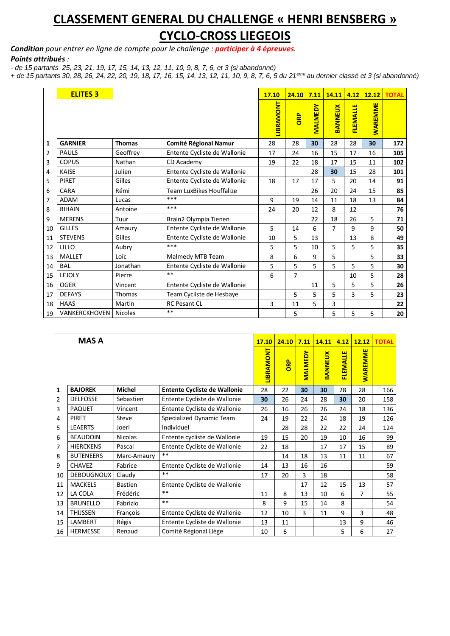## **CLASSEMENT GENERAL DU CHALLENGE « HENRI BENSBERG » CYCLO-CROSS LIEGEOIS**

*Condition pour entrer en ligne de compte pour le challenge : participer à 4 épreuves.*

## *Points attribués :*

*- de 15 partants 25, 23, 21, 19, 17, 15, 14, 13, 12, 11, 10, 9, 8, 7, 6, et 3 (si abandonné)*

*+ de 15 partants 30, 28, 26, 24, 22, 20, 19, 18, 17, 16, 15, 14, 13, 12, 11, 10, 9, 8, 7, 6, 5 du 21eme au dernier classé et 3 (si abandonné)*

|    | <b>ELITES 3</b> |                |                                 | 17.10            | 24.10          | 7.11           | 14.11          | 4.12     | 12.12          | <b>TOTAL</b> |
|----|-----------------|----------------|---------------------------------|------------------|----------------|----------------|----------------|----------|----------------|--------------|
|    |                 |                |                                 | <b>LIBRAMONT</b> | ORP            | <b>MALMEDY</b> | <b>BANNEUX</b> | FLEMALLE | <b>WAREMME</b> |              |
| 1  | <b>GARNIER</b>  | <b>Thomas</b>  | <b>Comité Régional Namur</b>    | 28               | 28             | 30             | 28             | 28       | 30             | 172          |
| 2  | <b>PAULS</b>    | Geoffrey       | Entente Cycliste de Wallonie    | 17               | 24             | 16             | 15             | 17       | 16             | 105          |
| 3  | <b>COPUS</b>    | Nathan         | CD Academy                      | 19               | 22             | 18             | 17             | 15       | 11             | 102          |
| 4  | <b>KAISE</b>    | Julien         | Entente Cycliste de Wallonie    |                  |                | 28             | 30             | 15       | 28             | 101          |
| 5  | PIRET           | Gilles         | Entente Cycliste de Wallonie    | 18               | 17             | 17             | 5              | 20       | 14             | 91           |
| 6  | CARA            | Rémi           | <b>Team LuxBikes Houffalize</b> |                  |                | 26             | 20             | 24       | 15             | 85           |
| 7  | <b>ADAM</b>     | Lucas          | ***                             | 9                | 19             | 14             | 11             | 18       | 13             | 84           |
| 8  | <b>BIHAIN</b>   | Antoine        | ***                             | 24               | 20             | 12             | 8              | 12       |                | 76           |
| 9  | <b>MERENS</b>   | Tuur           | Brain2 Olympia Tienen           |                  |                | 22             | 18             | 26       | 5              | 71           |
| 10 | <b>GILLES</b>   | Amaury         | Entente Cycliste de Wallonie    | 5                | 14             | 6              | $\overline{7}$ | 9        | 9              | 50           |
| 11 | <b>STEVENS</b>  | Gilles         | Entente Cycliste de Wallonie    | 10               | 5              | 13             |                | 13       | 8              | 49           |
| 12 | LILLO           | Aubry          | ***                             | 5                | 5              | 10             | 5              | 5        | 5              | 35           |
| 13 | <b>MALLET</b>   | Loïc           | Malmedy MTB Team                | 8                | 6              | 9              | 5              |          | 5              | 33           |
| 14 | <b>BAL</b>      | Jonathan       | Entente Cycliste de Wallonie    | 5                | 5              | 5              | 5              | 5        | 5              | 30           |
| 15 | LEJOLY          | Pierre         | $***$                           | 6                | $\overline{7}$ |                |                | 10       | 5              | 28           |
| 16 | <b>OGER</b>     | Vincent        | Entente Cycliste de Wallonie    |                  |                | 11             | 5              | 5        | 5              | 26           |
| 17 | <b>DEFAYS</b>   | Thomas         | Team Cycliste de Hesbaye        |                  | 5              | 5              | 5              | 3        | 5              | 23           |
| 18 | <b>HAAS</b>     | Martin         | <b>RC Pesant CL</b>             | 3                | 11             | 5              | 3              |          |                | 22           |
| 19 | VANKERCKHOVEN   | <b>Nicolas</b> | **                              |                  | 5              |                | 5              | 5        | 5              | 20           |

|    | <b>MAS A</b>      |                |                                     | 17.10            | 24.10     | 7.11           | 14.11          | 4.12            | 12.12          | <b>TOTAL</b> |
|----|-------------------|----------------|-------------------------------------|------------------|-----------|----------------|----------------|-----------------|----------------|--------------|
|    |                   |                |                                     | <b>LIBRAMONT</b> | <b>BB</b> | <b>MALMEDY</b> | <b>BANNEUX</b> | <b>FLEMALLE</b> | <b>WAREMME</b> |              |
| 1  | <b>BAJOREK</b>    | <b>Michel</b>  | <b>Entente Cycliste de Wallonie</b> | 28               | 22        | 30             | 30             | 28              | 28             | 166          |
| 2  | <b>DELFOSSE</b>   | Sebastien      | Entente Cycliste de Wallonie        | 30               | 26        | 24             | 28             | 30              | 20             | 158          |
| 3  | <b>PAQUET</b>     | Vincent        | Entente Cycliste de Wallonie        | 26               | 16        | 26             | 26             | 24              | 18             | 136          |
| 4  | <b>PIRET</b>      | Steve          | Specialized Dynamic Team            | 24               | 19        | 22             | 24             | 18              | 19             | 126          |
| 5  | <b>LEAERTS</b>    | Joeri          | Individuel                          |                  | 28        | 28             | 22             | 22              | 24             | 124          |
| 6  | <b>BEAUDOIN</b>   | <b>Nicolas</b> | Entente cycliste de Wallonie        | 19               | 15        | 20             | 19             | 10              | 16             | 99           |
| 7  | <b>HIERCKENS</b>  | Pascal         | Entente Cycliste de Wallonie        | 22               | 18        |                | 17             | 17              | 15             | 89           |
| 8  | <b>BUTENEERS</b>  | Marc-Amaury    | $***$                               |                  | 14        | 18             | 13             | 11              | 11             | 67           |
| 9  | <b>CHAVEZ</b>     | Fabrice        | Entente Cycliste de Wallonie        | 14               | 13        | 16             | 16             |                 |                | 59           |
| 10 | <b>DEBOUGNOUX</b> | Claudy         | $**$                                | 17               | 20        | 3              | 18             |                 |                | 58           |
| 11 | <b>MACKELS</b>    | <b>Bastien</b> | Entente Cycliste de Wallonie        |                  |           | 17             | 12             | 15              | 13             | 57           |
| 12 | LA COLA           | Frédéric       | $**$                                | 11               | 8         | 13             | 10             | 6               | 7              | 55           |
| 13 | <b>BRUNELLO</b>   | Fabrizio       | $**$                                | 8                | 9         | 15             | 14             | 8               |                | 54           |
| 14 | <b>THIJSSEN</b>   | François       | Entente Cycliste de Wallonie        | 12               | 10        | 3              | 11             | 9               | 3              | 48           |
| 15 | LAMBERT           | Régis          | Entente Cycliste de Wallonie        | 13               | 11        |                |                | 13              | 9              | 46           |
| 16 | <b>HERMESSE</b>   | Renaud         | Comité Régional Liège               | 10               | 6         |                |                | 5               | 6              | 27           |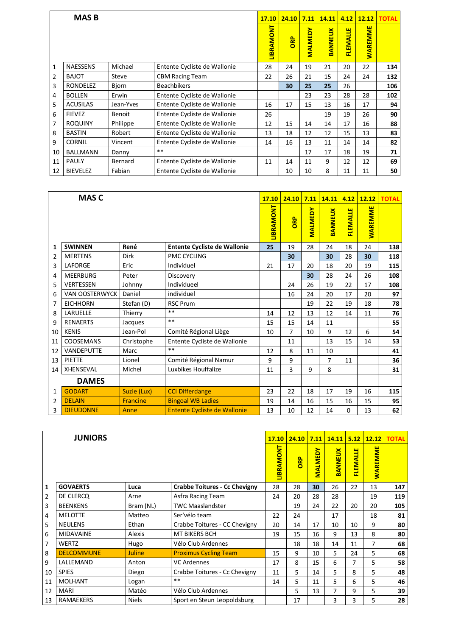|              | <b>MASB</b>     |           |                              | 17.10     | 24.10 | 7.11           | 14.11          | 4.12            | 12.12          | <b>TOTAL</b> |
|--------------|-----------------|-----------|------------------------------|-----------|-------|----------------|----------------|-----------------|----------------|--------------|
|              |                 |           |                              | LIBRAMONT | ORP   | <b>MALMEDY</b> | <b>BANNEUX</b> | <b>FLEMALLE</b> | <b>WAREMME</b> |              |
| $\mathbf{1}$ | <b>NAESSENS</b> | Michael   | Entente Cycliste de Wallonie | 28        | 24    | 19             | 21             | 20              | 22             | 134          |
| 2            | <b>BAJOT</b>    | Steve     | <b>CBM Racing Team</b>       | 22        | 26    | 21             | 15             | 24              | 24             | 132          |
| 3            | <b>RONDELEZ</b> | Biorn     | <b>Beachbikers</b>           |           | 30    | 25             | 25             | 26              |                | 106          |
| 4            | <b>BOLLEN</b>   | Erwin     | Entente Cycliste de Wallonie |           |       | 23             | 23             | 28              | 28             | 102          |
| 5            | <b>ACUSILAS</b> | Jean-Yves | Entente Cycliste de Wallonie | 16        | 17    | 15             | 13             | 16              | 17             | 94           |
| 6            | <b>FIEVEZ</b>   | Benoit    | Entente Cycliste de Wallonie | 26        |       |                | 19             | 19              | 26             | 90           |
| 7            | <b>ROQUINY</b>  | Philippe  | Entente Cycliste de Wallonie | 12        | 15    | 14             | 14             | 17              | 16             | 88           |
| 8            | <b>BASTIN</b>   | Robert    | Entente Cycliste de Wallonie | 13        | 18    | 12             | 12             | 15              | 13             | 83           |
| 9            | <b>CORNIL</b>   | Vincent   | Entente Cycliste de Wallonie | 14        | 16    | 13             | 11             | 14              | 14             | 82           |
| 10           | <b>BALLMANN</b> | Danny     | $***$                        |           |       | 17             | 17             | 18              | 19             | 71           |
| 11           | <b>PAULY</b>    | Bernard   | Entente Cycliste de Wallonie | 11        | 14    | 11             | 9              | 12              | 12             | 69           |
| 12           | <b>BIEVELEZ</b> | Fabian    | Entente Cycliste de Wallonie |           | 10    | 10             | 8              | 11              | 11             | 50           |

|               | <b>MAS C</b>          |                 |                                     | 17.10            | 24.10     | 7.11           | 14.11          | 4.12            | 12.12          | <b>TOTAL</b> |
|---------------|-----------------------|-----------------|-------------------------------------|------------------|-----------|----------------|----------------|-----------------|----------------|--------------|
|               |                       |                 |                                     | <b>LIBRAMONT</b> | <b>BB</b> | <b>MALMEDY</b> | <b>BANNEUX</b> | <b>FLEMALLE</b> | <b>WAREMME</b> |              |
| 1             | <b>SWINNEN</b>        | René            | <b>Entente Cycliste de Wallonie</b> | 25               | 19        | 28             | 24             | 18              | 24             | 138          |
| 2             | <b>MERTENS</b>        | Dirk            | <b>PMC CYCLING</b>                  |                  | 30        |                | 30             | 28              | 30             | 118          |
| 3             | LAFORGE               | Eric            | Individuel                          | 21               | 17        | 20             | 18             | 20              | 19             | 115          |
| 4             | <b>MEERBURG</b>       | Peter           | Discovery                           |                  |           | 30             | 28             | 24              | 26             | 108          |
| 5             | <b>VERTESSEN</b>      | Johnny          | Individueel                         |                  | 24        | 26             | 19             | 22              | 17             | 108          |
| 6             | <b>VAN OOSTERWYCK</b> | Daniel          | individuel                          |                  | 16        | 24             | 20             | 17              | 20             | 97           |
| 7             | <b>EICHHORN</b>       | Stefan (D)      | <b>RSC Prum</b>                     |                  |           | 19             | 22             | 19              | 18             | 78           |
| 8             | LARUELLE              | Thierry         | $***$                               | 14               | 12        | 13             | 12             | 14              | 11             | 76           |
| 9             | <b>RENAERTS</b>       | Jacques         | $***$                               | 15               | 15        | 14             | 11             |                 |                | 55           |
| 10            | <b>KENIS</b>          | Jean-Pol        | Comité Régional Liège               | 10               | 7         | 10             | 9              | 12              | 6              | 54           |
| 11            | <b>COOSEMANS</b>      | Christophe      | Entente Cycliste de Wallonie        |                  | 11        |                | 13             | 15              | 14             | 53           |
| 12            | <b>VANDEPUTTE</b>     | Marc            | $**$                                | 12               | 8         | 11             | 10             |                 |                | 41           |
| 13            | <b>PIETTE</b>         | Lionel          | Comité Régional Namur               | 9                | 9         |                | $\overline{7}$ | 11              |                | 36           |
| 14            | XHENSEVAL             | Michel          | Luxbikes Houffalize                 | 11               | 3         | 9              | 8              |                 |                | 31           |
|               | <b>DAMES</b>          |                 |                                     |                  |           |                |                |                 |                |              |
| 1             | <b>GODART</b>         | Suzie (Lux)     | <b>CCI Differdange</b>              | 23               | 22        | 18             | 17             | 19              | 16             | 115          |
| $\mathcal{P}$ | <b>DELAIN</b>         | <b>Francine</b> | <b>Bingoal WB Ladies</b>            | 19               | 14        | 16             | 15             | 16              | 15             | 95           |
| 3             | <b>DIEUDONNE</b>      | Anne            | <b>Entente Cycliste de Wallonie</b> | 13               | 10        | 12             | 14             | $\Omega$        | 13             | 62           |

|                | <b>JUNIORS</b>    |              |                                      | <b>17.10</b>     | 24.10 | 7.11           | 14.11          | 5.12            | 12.12          | <b>TOTAL</b> |
|----------------|-------------------|--------------|--------------------------------------|------------------|-------|----------------|----------------|-----------------|----------------|--------------|
|                |                   |              |                                      | <b>LIBRAMONT</b> | ORP   | <b>MALMEDY</b> | <b>BANNEUX</b> | <b>FLEMALLE</b> | <b>WAREMME</b> |              |
| $\mathbf{1}$   | <b>GOVAERTS</b>   | Luca         | <b>Crabbe Toitures - Cc Chevigny</b> | 28               | 28    | 30             | 26             | 22              | 13             | 147          |
| $\overline{2}$ | DE CLERCO         | Arne         | Asfra Racing Team                    | 24               | 20    | 28             | 28             |                 | 19             | 119          |
| 3              | <b>BEENKENS</b>   | Bram (NL)    | <b>TWC Maaslandster</b>              |                  | 19    | 24             | 22             | 20              | 20             | 105          |
| 4              | <b>MELOTTE</b>    | Matteo       | Ser'vélo team                        | 22               | 24    |                | 17             |                 | 18             | 81           |
| 5              | <b>NEULENS</b>    | Ethan        | Crabbe Toitures - CC Chevigny        | 20               | 14    | 17             | 10             | 10              | 9              | 80           |
| 6              | <b>MIDAVAINE</b>  | Alexis       | <b>MT BIKERS BCH</b>                 | 19               | 15    | 16             | 9              | 13              | 8              | 80           |
| $\overline{7}$ | <b>WERTZ</b>      | Hugo         | Vélo Club Ardennes                   |                  | 18    | 18             | 14             | 11              | 7              | 68           |
| 8              | <b>DELCOMMUNE</b> | Juline       | <b>Proximus Cycling Team</b>         | 15               | 9     | 10             | 5              | 24              | 5              | 68           |
| 9              | LALLEMAND         | Anton        | <b>VC Ardennes</b>                   | 17               | 8     | 15             | 6              | 7               | 5              | 58           |
| 10             | <b>SPIES</b>      | Diego        | Crabbe Toitures - Cc Chevigny        | 11               | 5     | 14             | 5              | 8               | 5              | 48           |
| 11             | <b>MOLHANT</b>    | Logan        | $***$                                | 14               | 5     | 11             | 5              | 6               | 5              | 46           |
| 12             | <b>MARI</b>       | Matéo        | Vélo Club Ardennes                   |                  | 5     | 13             | 7              | 9               | 5              | 39           |
| 13             | <b>RAMAEKERS</b>  | <b>Niels</b> | Sport en Steun Leopoldsburg          |                  | 17    |                | 3              | 3               | 5              | 28           |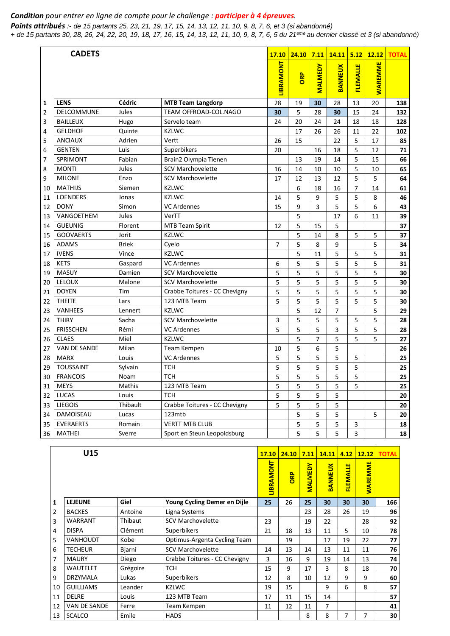## *Condition pour entrer en ligne de compte pour le challenge : participer à 4 épreuves.*

*Points attribués :- de 15 partants 25, 23, 21, 19, 17, 15, 14, 13, 12, 11, 10, 9, 8, 7, 6, et 3 (si abandonné) + de 15 partants 30, 28, 26, 24, 22, 20, 19, 18, 17, 16, 15, 14, 13, 12, 11, 10, 9, 8, 7, 6, 5 du 21eme au dernier classé et 3 (si abandonné)*

|                | <b>CADETS</b>    |               |                               | 17.10            | 24.10 | 7.11           | 14.11          | 5.12            | 12.12          | <b>TOTAL</b> |
|----------------|------------------|---------------|-------------------------------|------------------|-------|----------------|----------------|-----------------|----------------|--------------|
|                |                  |               |                               | <b>LIBRAMONT</b> | ORP   | <b>MALMEDY</b> | <b>BANNEUX</b> | <b>FLEMALLE</b> | <b>WAREMME</b> |              |
| 1              | <b>LENS</b>      | <b>Cédric</b> | <b>MTB Team Langdorp</b>      | 28               | 19    | 30             | 28             | 13              | 20             | 138          |
| $\overline{2}$ | DELCOMMUNE       | Jules         | TEAM OFFROAD-COL.NAGO         | 30               | 5     | 28             | 30             | 15              | 24             | 132          |
| 3              | <b>BAILLEUX</b>  | Hugo          | Servelo team                  | 24               | 20    | 24             | 24             | 18              | 18             | 128          |
| 4              | <b>GELDHOF</b>   | Quinte        | <b>KZLWC</b>                  |                  | 17    | 26             | 26             | 11              | 22             | 102          |
| 5              | <b>ANCIAUX</b>   | Adrien        | Vertt                         | 26               | 15    |                | 22             | 5               | 17             | 85           |
| 6              | <b>GENTEN</b>    | Luis          | Superbikers                   | 20               |       | 16             | 18             | 5               | 12             | 71           |
| 7              | <b>SPRIMONT</b>  | Fabian        | Brain2 Olympia Tienen         |                  | 13    | 19             | 14             | 5               | 15             | 66           |
| 8              | <b>MONTI</b>     | Jules         | <b>SCV Marchovelette</b>      | 16               | 14    | 10             | 10             | 5               | 10             | 65           |
| 9              | <b>MILONE</b>    | Enzo          | <b>SCV Marchovelette</b>      | 17               | 12    | 13             | 12             | 5               | 5              | 64           |
| 10             | <b>MATHIJS</b>   | Siemen        | <b>KZLWC</b>                  |                  | 6     | 18             | 16             | $\overline{7}$  | 14             | 61           |
| 11             | <b>LOENDERS</b>  | Jonas         | <b>KZLWC</b>                  | 14               | 5     | 9              | 5              | 5               | 8              | 46           |
| 12             | <b>DONY</b>      | Simon         | <b>VC Ardennes</b>            | 15               | 9     | 3              | 5              | 5               | 6              | 43           |
| 13             | VANGOETHEM       | Jules         | VerTT                         |                  | 5     |                | 17             | 6               | 11             | 39           |
| 14             | <b>GUEUNIG</b>   | Florent       | <b>MTB Team Spirit</b>        | 12               | 5     | 15             | 5              |                 |                | 37           |
| 15             | <b>GOOVAERTS</b> | Jorit         | <b>KZLWC</b>                  |                  | 5     | 14             | 8              | 5               | 5              | 37           |
| 16             | <b>ADAMS</b>     | <b>Briek</b>  | Cyelo                         | 7                | 5     | 8              | 9              |                 | 5              | 34           |
| 17             | <b>IVENS</b>     | Vince         | <b>KZLWC</b>                  |                  | 5     | 11             | 5              | 5               | 5              | 31           |
| 18             | <b>KETS</b>      | Gaspard       | <b>VC Ardennes</b>            | 6                | 5     | 5              | 5              | 5               | 5              | 31           |
| 19             | MASUY            | Damien        | <b>SCV Marchovelette</b>      | 5                | 5     | 5              | 5              | 5               | 5              | 30           |
| 20             | <b>LELOUX</b>    | Malone        | <b>SCV Marchovelette</b>      | 5                | 5     | 5              | 5              | 5               | 5              | 30           |
| 21             | <b>DOYEN</b>     | Tim           | Crabbe Toitures - CC Chevigny | 5                | 5     | 5              | 5              | 5               | 5              | 30           |
| 22             | <b>THEITE</b>    | Lars          | 123 MTB Team                  | 5                | 5     | 5              | 5              | 5               | 5              | 30           |
| 23             | <b>VANHEES</b>   | Lennert       | <b>KZLWC</b>                  |                  | 5     | 12             | $\overline{7}$ |                 | 5              | 29           |
| 24             | <b>THIRY</b>     | Sacha         | <b>SCV Marchovelette</b>      | 3                | 5     | 5              | 5              | 5               | 5              | 28           |
| 25             | <b>FRISSCHEN</b> | Rémi          | <b>VC Ardennes</b>            | 5                | 5     | 5              | 3              | 5               | 5              | 28           |
| 26             | <b>CLAES</b>     | Miel          | <b>KZLWC</b>                  |                  | 5     | 7              | 5              | 5               | 5              | 27           |
| 27             | VAN DE SANDE     | Milan         | Team Kempen                   | 10               | 5     | 6              | 5              |                 |                | 26           |
| 28             | <b>MARX</b>      | Louis         | <b>VC Ardennes</b>            | 5                | 5     | 5              | 5              | 5               |                | 25           |
| 29             | <b>TOUSSAINT</b> | Sylvain       | <b>TCH</b>                    | 5                | 5     | 5              | 5              | 5               |                | 25           |
| 30             | <b>FRANCOIS</b>  | Noam          | <b>TCH</b>                    | 5                | 5     | 5              | 5              | 5               |                | 25           |
| 31             | <b>MEYS</b>      | Mathis        | 123 MTB Team                  | 5                | 5     | 5              | 5              | 5               |                | 25           |
| 32             | <b>LUCAS</b>     | Louis         | <b>TCH</b>                    | 5                | 5     | 5              | 5              |                 |                | 20           |
| 33             | <b>LIEGOIS</b>   | Thibault      | Crabbe Toitures - CC Chevigny | 5                | 5     | 5              | 5              |                 |                | 20           |
| 34             | DAMOISEAU        | Lucas         | 123mtb                        |                  | 5     | 5              | 5              |                 | 5              | 20           |
| 35             | <b>EVERAERTS</b> | Romain        | <b>VERTT MTB CLUB</b>         |                  | 5     | 5              | 5              | 3               |                | 18           |
| 36             | <b>MATHEI</b>    | Sverre        | Sport en Steun Leopoldsburg   |                  | 5     | 5              | 5              | 3               |                | 18           |

|    | U15              |          |                               | <b>17.10</b>     | 24.10      | 7.11           | 14.11          | 4.12            | 12.12          | <b>TOTAL</b> |
|----|------------------|----------|-------------------------------|------------------|------------|----------------|----------------|-----------------|----------------|--------------|
|    |                  |          |                               | <b>LIBRAMONT</b> | <b>ORP</b> | <b>MALMEDY</b> | <b>BANNEUX</b> | <b>FLEMALLE</b> | <b>WAREMME</b> |              |
| 1  | <b>LEJEUNE</b>   | Giel     | Young Cycling Demer en Dijle  | 25               | 26         | 25             | 30             | 30              | 30             | 166          |
| 2  | <b>BACKES</b>    | Antoine  | Ligna Systems                 |                  |            | 23             | 28             | 26              | 19             | 96           |
| 3  | <b>WARRANT</b>   | Thibaut  | <b>SCV Marchovelette</b>      | 23               |            | 19             | 22             |                 | 28             | 92           |
| 4  | <b>DISPA</b>     | Clément  | Superbikers                   | 21               | 18         | 13             | 11             | 5               | 10             | 78           |
| 5  | <b>VANHOUDT</b>  | Kobe     | Optimus-Argenta Cycling Team  |                  | 19         |                | 17             | 19              | 22             | 77           |
| 6  | <b>TECHEUR</b>   | Bjarni   | <b>SCV Marchovelette</b>      | 14               | 13         | 14             | 13             | 11              | 11             | 76           |
| 7  | <b>MAURY</b>     | Diego    | Crabbe Toitures - CC Chevigny | 3                | 16         | 9              | 19             | 14              | 13             | 74           |
| 8  | <b>WAUTELET</b>  | Grégoire | <b>TCH</b>                    | 15               | 9          | 17             | 3              | 8               | 18             | 70           |
| 9  | <b>DRZYMALA</b>  | Lukas    | Superbikers                   | 12               | 8          | 10             | 12             | 9               | 9              | 60           |
| 10 | <b>GUILLIAMS</b> | Leander  | <b>KZLWC</b>                  | 19               | 15         |                | 9              | 6               | 8              | 57           |
| 11 | <b>DELRE</b>     | Louis    | 123 MTB Team                  | 17               | 11         | 15             | 14             |                 |                | 57           |
| 12 | VAN DE SANDE     | Ferre    | Team Kempen                   | 11               | 12         | 11             | 7              |                 |                | 41           |
| 13 | <b>SCALCO</b>    | Emile    | <b>HADS</b>                   |                  |            | 8              | 8              | 7               | 7              | 30           |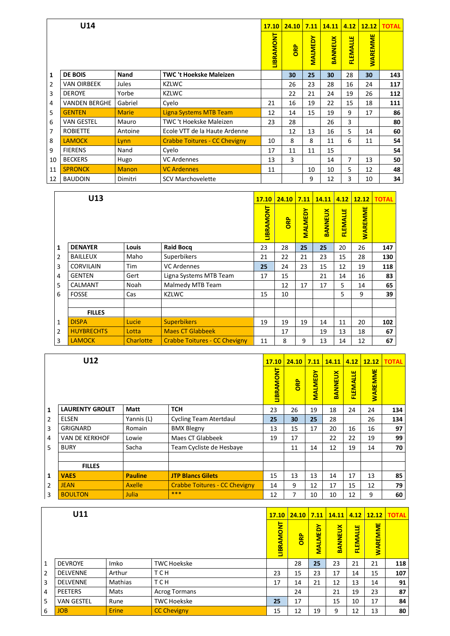|                | U14                  |              |                                      | 17.10            | 24.10     | 7.11           | 14.11          | 4.12            | 12.12          | <b>TOTAL</b> |
|----------------|----------------------|--------------|--------------------------------------|------------------|-----------|----------------|----------------|-----------------|----------------|--------------|
|                |                      |              |                                      | <b>LIBRAMONT</b> | <b>BB</b> | <b>MALMEDY</b> | <b>BANNEUX</b> | <b>FLEMALLE</b> | <b>WAREMME</b> |              |
| 1              | <b>DE BOIS</b>       | Nand         | <b>TWC 't Hoekske Maleizen</b>       |                  | 30        | 25             | 30             | 28              | 30             | 143          |
| $\overline{2}$ | <b>VAN OIRBEEK</b>   | Jules        | <b>KZLWC</b>                         |                  | 26        | 23             | 28             | 16              | 24             | 117          |
| 3              | <b>DEROYE</b>        | Yorbe        | <b>KZLWC</b>                         |                  | 22        | 21             | 24             | 19              | 26             | 112          |
| 4              | <b>VANDEN BERGHE</b> | Gabriel      | Cyelo                                | 21               | 16        | 19             | 22             | 15              | 18             | 111          |
| 5              | <b>GENTEN</b>        | <b>Marie</b> | <b>Ligna Systems MTB Team</b>        | 12               | 14        | 15             | 19             | 9               | 17             | 86           |
| 6              | <b>VAN GESTEL</b>    | Mauro        | <b>TWC</b> 't Hoekske Maleizen       | 23               | 28        |                | 26             | 3               |                | 80           |
| 7              | <b>ROBIETTE</b>      | Antoine      | Ecole VTT de la Haute Ardenne        |                  | 12        | 13             | 16             | 5               | 14             | 60           |
| 8              | <b>LAMOCK</b>        | Lynn         | <b>Crabbe Toitures - CC Chevigny</b> | 10               | 8         | 8              | 11             | 6               | 11             | 54           |
| 9              | <b>FIERENS</b>       | Nand         | Cyelo                                | 17               | 11        | 11             | 15             |                 |                | 54           |
| 10             | <b>BECKERS</b>       | Hugo         | <b>VC</b> Ardennes                   | 13               | 3         |                | 14             | 7               | 13             | 50           |
| 11             | <b>SPRONCK</b>       | <b>Manon</b> | <b>VC Ardennes</b>                   | 11               |           | 10             | 10             | 5               | 12             | 48           |
| 12             | <b>BAUDOIN</b>       | Dimitri      | <b>SCV Marchovelette</b>             |                  |           | 9              | 12             | 3               | 10             | 34           |

|                | U13               |           |                                      | <b>17.10</b>     | 24.10 | 7.11           | <b>14.11</b>   | 4.12            | 12.12          | <b>TOTAL</b> |
|----------------|-------------------|-----------|--------------------------------------|------------------|-------|----------------|----------------|-----------------|----------------|--------------|
|                |                   |           |                                      | <b>LIBRAMONT</b> | ORP   | <b>MALMEDY</b> | <b>BANNEUX</b> | <b>FLEMALLE</b> | <b>WAREMME</b> |              |
| $\mathbf{1}$   | <b>DENAYER</b>    | Louis     | <b>Raid Bocq</b>                     | 23               | 28    | 25             | 25             | 20              | 26             | 147          |
| $\overline{2}$ | <b>BAILLEUX</b>   | Maho      | Superbikers                          | 21               | 22    | 21             | 23             | 15              | 28             | 130          |
| 3              | <b>CORVILAIN</b>  | Tim       | <b>VC Ardennes</b>                   | 25               | 24    | 23             | 15             | 12              | 19             | 118          |
| 4              | <b>GENTEN</b>     | Gert      | Ligna Systems MTB Team               | 17               | 15    |                | 21             | 14              | 16             | 83           |
| 5              | CALMANT           | Noah      | Malmedy MTB Team                     |                  | 12    | 17             | 17             | 5               | 14             | 65           |
| 6              | <b>FOSSE</b>      | Cas       | <b>KZLWC</b>                         | 15               | 10    |                |                | 5               | 9              | 39           |
|                |                   |           |                                      |                  |       |                |                |                 |                |              |
|                | <b>FILLES</b>     |           |                                      |                  |       |                |                |                 |                |              |
| $\mathbf{1}$   | <b>DISPA</b>      | Lucie     | <b>Superbikers</b>                   | 19               | 19    | 19             | 14             | 11              | 20             | 102          |
| $\overline{2}$ | <b>HUYBRECHTS</b> | Lotta     | <b>Maes CT Glabbeek</b>              |                  | 17    |                | 19             | 13              | 18             | 67           |
| 3              | <b>LAMOCK</b>     | Charlotte | <b>Crabbe Toitures - CC Chevigny</b> | 11               | 8     | 9              | 13             | 14              | 12             | 67           |

|                | U12                    |                |                                      | <b>17.10</b>     | 24.10 | 7.11           | 14.11          | 4.12            | 12.12          | <b>TOTAL</b> |
|----------------|------------------------|----------------|--------------------------------------|------------------|-------|----------------|----------------|-----------------|----------------|--------------|
|                |                        |                |                                      | <b>LIBRAMONT</b> | ORP   | <b>MALMEDY</b> | <b>BANNEUX</b> | <b>FLEMALLE</b> | <b>WAREMME</b> |              |
| 1              | <b>LAURENTY GROLET</b> | <b>Matt</b>    | <b>TCH</b>                           | 23               | 26    | 19             | 18             | 24              | 24             | 134          |
| $\overline{2}$ | <b>ELSEN</b>           | Yannis (L)     | <b>Cycling Team Atertdaul</b>        | 25               | 30    | 25             | 28             |                 | 26             | 134          |
| 3              | <b>GRIGNARD</b>        | Romain         | <b>BMX Blegny</b>                    | 13               | 15    | 17             | 20             | 16              | 16             | 97           |
| 4              | VAN DE KERKHOF         | Lowie          | Maes CT Glabbeek                     | 19               | 17    |                | 22             | 22              | 19             | 99           |
| 5              | <b>BURY</b>            | Sacha          | Team Cycliste de Hesbaye             |                  | 11    | 14             | 12             | 19              | 14             | 70           |
|                |                        |                |                                      |                  |       |                |                |                 |                |              |
|                | <b>FILLES</b>          |                |                                      |                  |       |                |                |                 |                |              |
| 1              | <b>VAES</b>            | <b>Pauline</b> | <b>JTP Blancs Gilets</b>             | 15               | 13    | 13             | 14             | 17              | 13             | 85           |
| $\overline{2}$ | <b>JEAN</b>            | <b>Axelle</b>  | <b>Crabbe Toitures - CC Chevigny</b> | 14               | 9     | 12             | 17             | 15              | 12             | 79           |
| 3              | <b>BOULTON</b>         | Julia          | ***                                  | 12               | 7     | 10             | 10             | 12              | 9              | 60           |

|                | U11               |              |                      | 17.10            | 24.10      |                | 7.11   14.11   | 4.12            |                | $12.12$ TOTAL |
|----------------|-------------------|--------------|----------------------|------------------|------------|----------------|----------------|-----------------|----------------|---------------|
|                |                   |              |                      | <b>LIBRAMONT</b> | <b>ORP</b> | <b>MALMEDY</b> | <b>BANNEUX</b> | <b>FLEMALLE</b> | <b>WAREMME</b> |               |
| $\overline{1}$ | <b>DEVROYE</b>    | Imko         | <b>TWC Hoekske</b>   |                  | 28         | 25             | 23             | 21              | 21             | 118           |
| $\overline{2}$ | <b>DELVENNE</b>   | Arthur       | <b>TCH</b>           | 23               | 15         | 23             | 17             | 14              | 15             | 107           |
| $\overline{3}$ | <b>DELVENNE</b>   | Mathias      | T C H                | 17               | 14         | 21             | 12             | 13              | 14             | 91            |
| $\overline{4}$ | <b>PEETERS</b>    | Mats         | <b>Acrog Tormans</b> |                  | 24         |                | 21             | 19              | 23             | 87            |
| 5              | <b>VAN GESTEL</b> | Rune         | <b>TWC Hoekske</b>   | 25               | 17         |                | 15             | 10              | 17             | 84            |
| 6              | <b>JOB</b>        | <b>Erine</b> | <b>CC Chevigny</b>   | 15               | 12         | 19             | 9              | 12              | 13             | 80            |